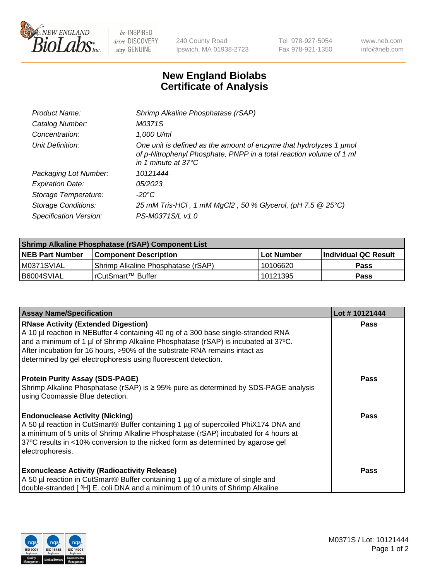

 $be$  INSPIRED drive DISCOVERY stay GENUINE

240 County Road Ipswich, MA 01938-2723 Tel 978-927-5054 Fax 978-921-1350 www.neb.com info@neb.com

## **New England Biolabs Certificate of Analysis**

| Product Name:              | Shrimp Alkaline Phosphatase (rSAP)                                                                                                                               |
|----------------------------|------------------------------------------------------------------------------------------------------------------------------------------------------------------|
| Catalog Number:            | M0371S                                                                                                                                                           |
| Concentration:             | 1,000 U/ml                                                                                                                                                       |
| Unit Definition:           | One unit is defined as the amount of enzyme that hydrolyzes 1 µmol<br>of p-Nitrophenyl Phosphate, PNPP in a total reaction volume of 1 ml<br>in 1 minute at 37°C |
| Packaging Lot Number:      | 10121444                                                                                                                                                         |
| <b>Expiration Date:</b>    | 05/2023                                                                                                                                                          |
| Storage Temperature:       | $-20^{\circ}$ C                                                                                                                                                  |
| <b>Storage Conditions:</b> | 25 mM Tris-HCl, 1 mM MgCl2, 50 % Glycerol, (pH 7.5 @ 25°C)                                                                                                       |
| Specification Version:     | PS-M0371S/L v1.0                                                                                                                                                 |

| <b>Shrimp Alkaline Phosphatase (rSAP) Component List</b> |                                     |            |                       |  |
|----------------------------------------------------------|-------------------------------------|------------|-----------------------|--|
| <b>NEB Part Number</b>                                   | <b>Component Description</b>        | Lot Number | ∣Individual QC Result |  |
| IM0371SVIAL                                              | 'Shrimp Alkaline Phosphatase (rSAP) | 10106620   | <b>Pass</b>           |  |
| I B6004SVIAL                                             | ⊺rCutSmart™ Buffer                  | 10121395   | <b>Pass</b>           |  |

| <b>Assay Name/Specification</b>                                                                                                                                                                                                                                                                                                                                      | Lot #10121444 |
|----------------------------------------------------------------------------------------------------------------------------------------------------------------------------------------------------------------------------------------------------------------------------------------------------------------------------------------------------------------------|---------------|
| <b>RNase Activity (Extended Digestion)</b><br>A 10 µl reaction in NEBuffer 4 containing 40 ng of a 300 base single-stranded RNA<br>and a minimum of 1 µl of Shrimp Alkaline Phosphatase (rSAP) is incubated at 37°C.<br>After incubation for 16 hours, >90% of the substrate RNA remains intact as<br>determined by gel electrophoresis using fluorescent detection. | <b>Pass</b>   |
| <b>Protein Purity Assay (SDS-PAGE)</b><br>Shrimp Alkaline Phosphatase (rSAP) is ≥ 95% pure as determined by SDS-PAGE analysis<br>using Coomassie Blue detection.                                                                                                                                                                                                     | <b>Pass</b>   |
| <b>Endonuclease Activity (Nicking)</b><br>A 50 µl reaction in CutSmart® Buffer containing 1 µg of supercoiled PhiX174 DNA and<br>a minimum of 5 units of Shrimp Alkaline Phosphatase (rSAP) incubated for 4 hours at<br>37°C results in <10% conversion to the nicked form as determined by agarose gel<br>electrophoresis.                                          | <b>Pass</b>   |
| <b>Exonuclease Activity (Radioactivity Release)</b><br>A 50 µl reaction in CutSmart® Buffer containing 1 µg of a mixture of single and<br>double-stranded [3H] E. coli DNA and a minimum of 10 units of Shrimp Alkaline                                                                                                                                              | <b>Pass</b>   |